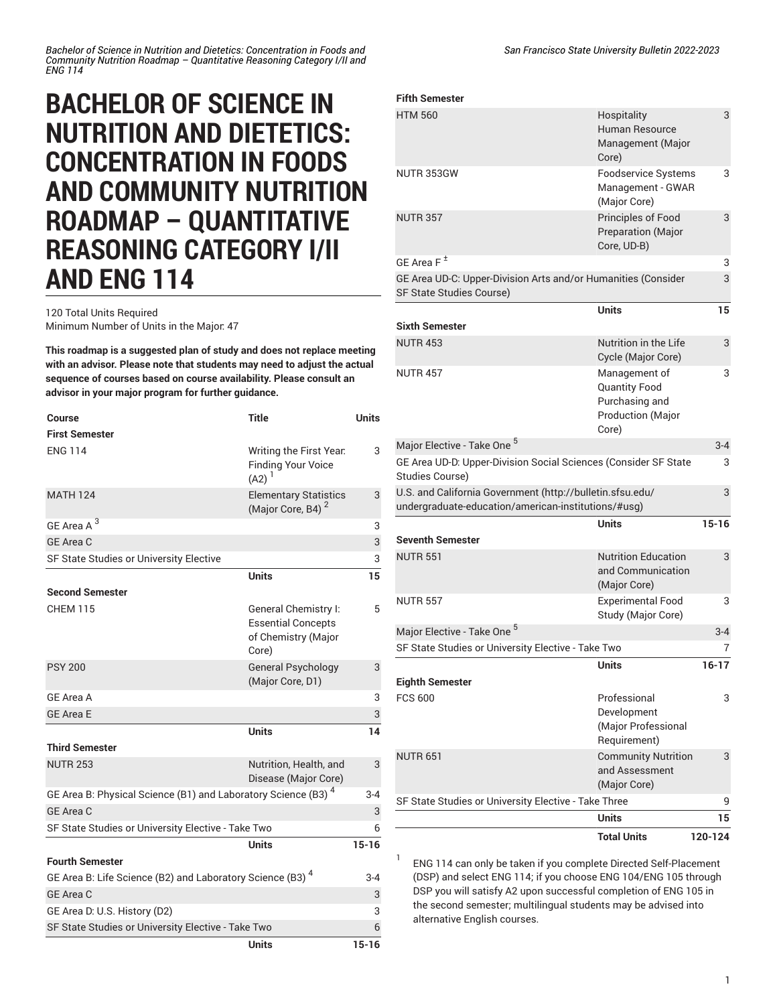*Bachelor of Science in Nutrition and Dietetics: Concentration in Foods and Community Nutrition Roadmap – Quantitative Reasoning Category I/II and ENG 114*

## **BACHELOR OF SCIENCE IN NUTRITION AND DIETETICS: CONCENTRATION IN FOODS AND COMMUNITY NUTRITION ROADMAP – QUANTITATIVE REASONING CATEGORY I/II AND ENG 114**

## 120 Total Units Required Minimum Number of Units in the Major: 47

**This roadmap is a suggested plan of study and does not replace meeting with an advisor. Please note that students may need to adjust the actual sequence of courses based on course availability. Please consult an advisor in your major program for further guidance.**

| Course                                                                    | <b>Title</b>                                                                      | <b>Units</b> |
|---------------------------------------------------------------------------|-----------------------------------------------------------------------------------|--------------|
| <b>First Semester</b>                                                     |                                                                                   |              |
| <b>ENG 114</b>                                                            | Writing the First Year.<br><b>Finding Your Voice</b><br>$(A2)^1$                  | 3            |
| <b>MATH 124</b>                                                           | <b>Elementary Statistics</b><br>(Major Core, B4) <sup>2</sup>                     | 3            |
| GE Area A <sup>3</sup>                                                    |                                                                                   | 3            |
| GE Area C                                                                 |                                                                                   | 3            |
| SF State Studies or University Elective                                   |                                                                                   | 3            |
|                                                                           | <b>Units</b>                                                                      | 15           |
| <b>Second Semester</b>                                                    |                                                                                   |              |
| <b>CHEM 115</b>                                                           | General Chemistry I:<br><b>Essential Concepts</b><br>of Chemistry (Major<br>Core) | 5            |
| <b>PSY 200</b>                                                            | <b>General Psychology</b><br>(Major Core, D1)                                     | 3            |
| GE Area A                                                                 |                                                                                   | 3            |
| <b>GE Area E</b>                                                          |                                                                                   | 3            |
|                                                                           | <b>Units</b>                                                                      | 14           |
| <b>Third Semester</b>                                                     |                                                                                   |              |
| <b>NUTR 253</b>                                                           | Nutrition, Health, and<br>Disease (Major Core)                                    | 3            |
| GE Area B: Physical Science (B1) and Laboratory Science (B3) <sup>4</sup> |                                                                                   | $3 - 4$      |
| GE Area C                                                                 |                                                                                   | 3            |
| SF State Studies or University Elective - Take Two                        |                                                                                   | 6            |
|                                                                           | Units                                                                             | $15 - 16$    |
| <b>Fourth Semester</b>                                                    |                                                                                   |              |
| GE Area B: Life Science (B2) and Laboratory Science (B3) <sup>4</sup>     |                                                                                   | $3 - 4$      |
| <b>GE Area C</b>                                                          |                                                                                   | 3            |
| GE Area D: U.S. History (D2)                                              |                                                                                   | 3            |
| SF State Studies or University Elective - Take Two                        |                                                                                   |              |
|                                                                           | <b>Units</b>                                                                      | $15 - 16$    |

| <b>Fifth Semester</b>                                                                            |                                                                                              |           |
|--------------------------------------------------------------------------------------------------|----------------------------------------------------------------------------------------------|-----------|
| <b>HTM 560</b>                                                                                   | Hospitality<br><b>Human Resource</b><br>Management (Major<br>Core)                           | 3         |
| NUTR 353GW                                                                                       | <b>Foodservice Systems</b><br>Management - GWAR<br>(Major Core)                              | 3         |
| <b>NUTR 357</b>                                                                                  | Principles of Food<br><b>Preparation (Major</b><br>Core, UD-B)                               | 3         |
| GE Area $F^{\pm}$                                                                                |                                                                                              | 3         |
| GE Area UD-C: Upper-Division Arts and/or Humanities (Consider<br><b>SF State Studies Course)</b> |                                                                                              |           |
|                                                                                                  | <b>Units</b>                                                                                 | 15        |
| <b>Sixth Semester</b>                                                                            |                                                                                              |           |
| <b>NUTR 453</b>                                                                                  | Nutrition in the Life<br>Cycle (Major Core)                                                  | 3         |
| <b>NUTR 457</b>                                                                                  | Management of<br><b>Quantity Food</b><br>Purchasing and<br><b>Production (Major</b><br>Core) | 3         |
| Major Elective - Take One <sup>5</sup>                                                           |                                                                                              | $3 - 4$   |
| GE Area UD-D: Upper-Division Social Sciences (Consider SF State                                  |                                                                                              |           |
| Studies Course)<br>3                                                                             |                                                                                              |           |
| U.S. and California Government (http://bulletin.sfsu.edu/                                        |                                                                                              |           |
| undergraduate-education/american-institutions/#usg)                                              |                                                                                              |           |
|                                                                                                  | Units                                                                                        | $15 - 16$ |
| <b>Seventh Semester</b>                                                                          |                                                                                              |           |
| <b>NUTR 551</b>                                                                                  | <b>Nutrition Education</b><br>and Communication<br>(Major Core)                              | 3         |
| <b>NUTR 557</b>                                                                                  | <b>Experimental Food</b><br>Study (Major Core)                                               | 3         |
| Major Elective - Take One <sup>5</sup>                                                           |                                                                                              | $3 - 4$   |
| SF State Studies or University Elective - Take Two                                               |                                                                                              | 7         |
|                                                                                                  | Units                                                                                        | 16-17     |
| <b>Eighth Semester</b>                                                                           |                                                                                              |           |
| <b>FCS 600</b>                                                                                   | Professional<br>Development<br>(Major Professional<br>Requirement)                           | 3         |
| <b>NUTR 651</b>                                                                                  | <b>Community Nutrition</b><br>and Assessment<br>(Major Core)                                 | 3         |
| SF State Studies or University Elective - Take Three                                             |                                                                                              |           |
|                                                                                                  | <b>Units</b>                                                                                 | 15        |
|                                                                                                  | <b>Total Units</b>                                                                           | 120-124   |

ENG 114 can only be taken if you complete Directed Self-Placement (DSP) and select ENG 114; if you choose ENG 104/ENG 105 through DSP you will satisfy A2 upon successful completion of ENG 105 in the second semester; multilingual students may be advised into alternative English courses.

1